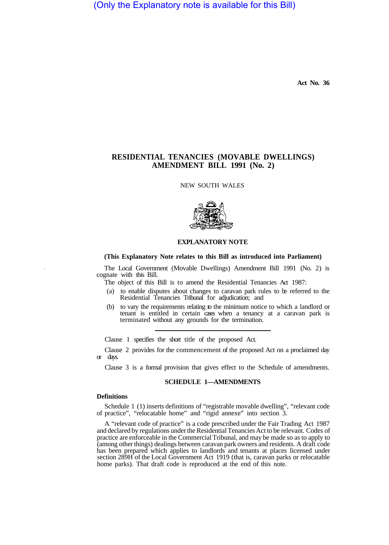(Only the Explanatory note is available for this Bill)

**Act No. 36** 

# **RESIDENTIAL TENANCIES (MOVABLE DWELLINGS) AMENDMENT BILL 1991 (No. 2)**

NEW SOUTH WALES



## **EXPLANATORY NOTE**

## **(This Explanatory Note relates to this Bill as introduced into Parliament)**

The Local Government (Movable Dwellings) Amendment Bill 1991 (No. 2) is cognate with this Bill.

The object of this Bill is to amend the Residential Tenancies Act 1987:

- (a) to enable disputes about changes to caravan park rules to be referred to the Residential Tenancies Tribunal for adjudication; and
- (b) to vary the requirements relating to the minimum notice to which a landlord or tenant is entitled in certain cases when a tenancy at a caravan park is terminated without any grounds for the termination.

Clause 1 specifies the short title of the proposed Act.

Clause 2 provides for the commencement of the proposed Act on a proclaimed day or days.

Clause 3 is a formal provision that gives effect to the Schedule of amendments.

#### **SCHEDULE 1—AMENDMENTS**

#### **Definitions**

Schedule 1 (1) inserts definitions of "registrable movable dwelling", "relevant code of practice", "relocatable home" and "rigid annexe" into section 3.

A "relevant code of practice" is a code prescribed under the Fair Trading Act 1987 and declared by regulations under the Residential Tenancies Act to be relevant. Codes of practice are enforceable in the Commercial Tribunal, and may be made so as to apply to (among other things) dealings between caravan park owners and residents. A draft code has been prepared which applies to landlords and tenants at places licensed under section 289H of the Local Government Act 1919 (that is, caravan parks or relocatable home parks). That draft code is reproduced at the end of this note.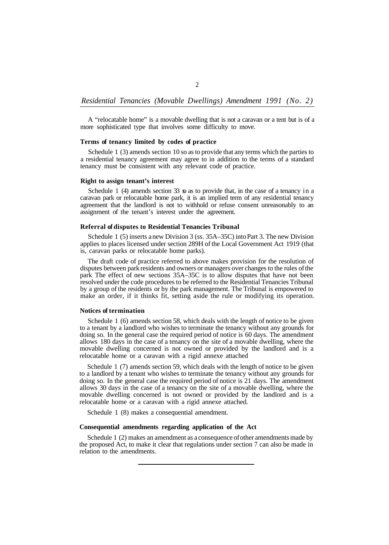A "relocatable home" is a movable dwelling that is not a caravan or a tent but is of a more sophisticated type that involves some difficulty to move.

## **Terms of tenancy limited by codes of practice**

Schedule 1 (3) amends section 10 so as to provide that any terms which the parties to a residential tenancy agreement may agree to in addition to the terms of a standard tenancy must be consistent with any relevant code of practice.

## **Right to assign tenant's interest**

Schedule 1 (4) amends section 33  $\circ$  as to provide that, in the case of a tenancy in a caravan park or relocatable home park, it is an implied term of any residential tenancy agreement that the landlord is not to withhold or refuse consent unreasonably to an assignment of the tenant's interest under the agreement.

#### **Referral of disputes to Residential Tenancies Tribunal**

Schedule 1 (5) inserts a new Division 3 (ss. 35A–35C) into Part 3. The new Division applies to places licensed under section 289H of the Local Government Act 1919 (that is, caravan parks or relocatable home parks).

The draft code of practice referred to above makes provision for the resolution of disputes between park residents and owners or managers over changes to the rules of the park The effect of new sections 35A–35C is to allow disputes that have not been resolved under the code procedures to be referred to the Residential Tenancies Tribunal by a group of the residents or by the park management. The Tribunal is empowered to make an order, if it thinks fit, setting aside the rule or modifying its operation.

### **Notices of termination**

Schedule 1 (6) amends section 58, which deals with the length of notice to be given to a tenant by a landlord who wishes to terminate the tenancy without any grounds for doing so. In the general case the required period of notice is 60 days. The amendment allows 180 days in the case of a tenancy on the site of a movable dwelling, where the movable dwelling concerned is not owned or provided by the landlord and is a relocatable home or a caravan with a rigid annexe attached

Schedule 1 (7) amends section 59, which deals with the length of notice to be given to a landlord by a tenant who wishes to terminate the tenancy without any grounds for doing so. In the general case the required period of notice is 21 days. The amendment allows 30 days in the case of a tenancy on the site of a movable dwelling, where the movable dwelling concerned is not owned or provided by the landlord and is a relocatable home or a caravan with a rigid annexe attached.

Schedule 1 (8) makes a consequential amendment.

#### **Consequential amendments regarding application of the Act**

Schedule 1 (2) makes an amendment as a consequence of other amendments made by the proposed Act, to make it clear that regulations under section 7 can also be made in relation to the amendments.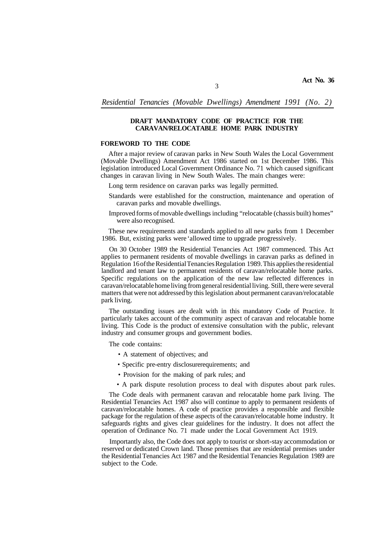## **DRAFT MANDATORY CODE OF PRACTICE FOR THE CARAVAN/RELOCATABLE HOME PARK INDUSTRY**

## **FOREWORD TO THE CODE**

After a major review of caravan parks in New South Wales the Local Government (Movable Dwellings) Amendment Act 1986 started on 1st December 1986. This legislation introduced Local Government Ordinance No. 71 which caused significant changes in caravan living in New South Wales. The main changes were:

Long term residence on caravan parks was legally permitted.

- Standards were established for the construction, maintenance and operation of caravan parks and movable dwellings.
- Improved forms of movable dwellings including "relocatable (chassis built) homes" were also recognised.

These new requirements and standards applied to all new parks from 1 December 1986. But, existing parks were 'allowed time to upgrade progressively.

On 30 October 1989 the Residential Tenancies Act 1987 commenced. This Act applies to permanent residents of movable dwellings in caravan parks as defined in Regulation 16 of the Residential Tenancies Regulation 1989. This applies the residential landlord and tenant law to permanent residents of caravan/relocatable home parks. Specific regulations on the application of the new law reflected differences in caravan/relocatable home living from general residential living. Still, there were several matters that were not addressed by this legislation about permanent caravan/relocatable park living.

The outstanding issues are dealt with in this mandatory Code of Practice. It particularly takes account of the community aspect of caravan and relocatable home living. This Code is the product of extensive consultation with the public, relevant industry and consumer groups and government bodies.

The code contains:

- A statement of objectives; and
- Specific pre-entry disclosure requirements; and
- Provision for the making of park rules; and
- A park dispute resolution process to deal with disputes about park rules.

The Code deals with permanent caravan and relocatable home park living. The Residential Tenancies Act 1987 also will continue to apply to permanent residents of caravan/relocatable homes. A code of practice provides a responsible and flexible package for the regulation of these aspects of the caravan/relocatable home industry. It safeguards rights and gives clear guidelines for the industry. It does not affect the operation of Ordinance No. 71 made under the Local Government Act 1919.

Importantly also, the Code does not apply to tourist or short-stay accommodation or reserved or dedicated Crown land. Those premises that are residential premises under the Residential Tenancies Act 1987 and the Residential Tenancies Regulation 1989 are subject to the Code.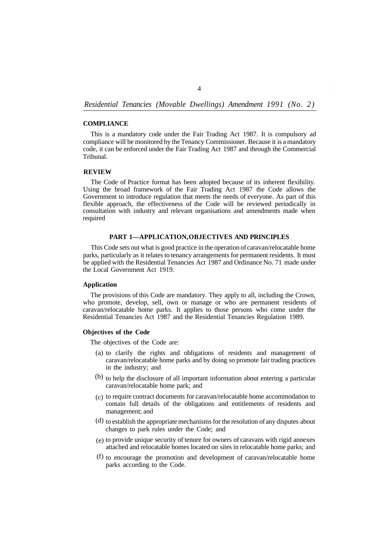#### **COMPLIANCE**

This is a mandatory code under the Fair Trading Act 1987. It is compulsory ad compliance will be monitored by the Tenancy Commissioner. Because it is a mandatory code, it can be enforced under the Fair Trading Act 1987 and through the Commercial Tribunal.

## **REVIEW**

The Code of Practice format has been adopted because of its inherent flexibility. Using the broad framework of the Fair Trading Act 1987 the Code allows the Government to introduce regulation that meets the needs of everyone. As part of this flexible approach, the effectiveness of the Code will be reviewed periodically in consultation with industry and relevant organisations and amendments made when required

## **PART 1—APPLICATION, OBJECTIVES AND PRINCIPLES**

This Code sets out what is good practice in the operation of caravan/relocatable home parks, particularly as it relates to tenancy arrangements for permanent residents. It must be applied with the Residential Tenancies Act 1987 and Ordinance No. 71 made under the Local Government Act 1919.

### **Application**

The provisions of this Code are mandatory. They apply to all, including the Crown, who promote, develop, sell, own or manage or who are permanent residents of caravan/relocatable home parks. It applies to those persons who come under the Residential Tenancies Act 1987 and the Residential Tenancies Regulation 1989.

### **Objectives of the Code**

The objectives of the Code are:

- (a) to clarify the rights and obligations of residents and management of caravan/relocatable home parks and by doing so promote fair trading practices in the industry; and
- $(b)$  to help the disclosure of all important information about entering a particular caravan/relocatable home park; and
- (c) to require contract documents for caravan/relocatable home accommodation to contain full details of the obligations and entitlements of residents and management; and
- (d) to establish the appropriate mechanisms for the resolution of any disputes about changes to park rules under the Code; and
- (e) to provide unique security of tenure for owners of caravans with rigid annexes attached and relocatable homes located on sites in relocatable home parks; and
- (f) to encourage the promotion and development of caravan/relocatable home parks according to the Code.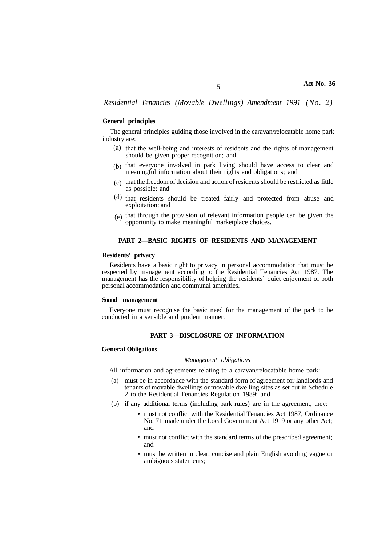#### **General principles**

The general principles guiding those involved in the caravan/relocatable home park industry are:

- (a) that the well-being and interests of residents and the rights of management should be given proper recognition; and
- (b) that everyone involved in park living should have access to clear and meaningful information about their rights and obligations; and
- $(c)$  that the freedom of decision and action of residents should be restricted as little as possible; and
- (d) that residents should be treated fairly and protected from abuse and exploitation; and
- $(e)$  that through the provision of relevant information people can be given the opportunity to make meaningful marketplace choices.

## **PART 2—BASIC RIGHTS OF RESIDENTS AND MANAGEMENT**

## **Residents' privacy**

Residents have a basic right to privacy in personal accommodation that must be respected by management according to the Residential Tenancies Act 1987. The management has the responsibility of helping the residents' quiet enjoyment of both personal accommodation and communal amenities.

### **Sound management**

Everyone must recognise the basic need for the management of the park to be conducted in a sensible and prudent manner.

## **PART 3—DISCLOSURE OF INFORMATION**

### **General Obligations**

#### *Management obligations*

All information and agreements relating to a caravan/relocatable home park:

- (a) must be in accordance with the standard form of agreement for landlords and tenants of movable dwellings or movable dwelling sites as set out in Schedule 2 to the Residential Tenancies Regulation 1989; and
- (b) if any additional terms (including park rules) are in the agreement, they:
	- must not conflict with the Residential Tenancies Act 1987, Ordinance No. 71 made under the Local Government Act 1919 or any other Act; and
	- must not conflict with the standard terms of the prescribed agreement; and
	- must be written in clear, concise and plain English avoiding vague or ambiguous statements;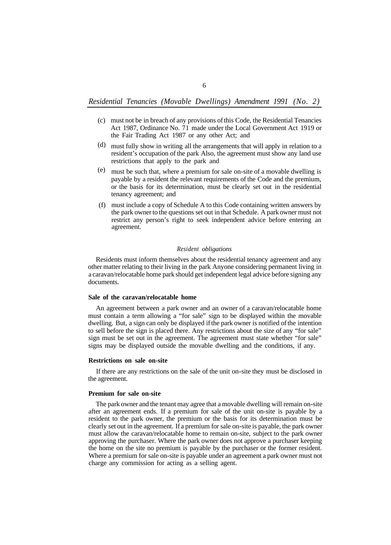- must not be in breach of any provisions of this Code, the Residential Tenancies (c) Act 1987, Ordinance No. 71 made under the Local Government Act 1919 or the Fair Trading Act 1987 or any other Act; and
- must fully show in writing all the arrangements that will apply in relation to a (d) resident's occupation of the park Also, the agreement must show any land use restrictions that apply to the park and
- must be such that, where a premium for sale on-site of a movable dwelling is payable by a resident the relevant requirements of the Code and the premium, or the basis for its determination, must be clearly set out in the residential tenancy agreement; and (e)
- must include a copy of Schedule A to this Code containing written answers by (f)the park owner to the questions set out in that Schedule. A park owner must not restrict any person's right to seek independent advice before entering an agreement.

## *Resident obligations*

Residents must inform themselves about the residential tenancy agreement and any other matter relating to their living in the park Anyone considering permanent living in a caravan/relocatable home park should get independent legal advice before signing any documents.

### **Sale of the caravan/relocatable home**

An agreement between a park owner and an owner of a caravan/relocatable home must contain a term allowing a "for sale" sign to be displayed within the movable dwelling. But, a sign can only be displayed if the park owner is notified of the intention to sell before the sign is placed there. Any restrictions about the size of any "for sale" sign must be set out in the agreement. The agreement must state whether "for sale" signs may be displayed outside the movable dwelling and the conditions, if any.

#### **Restrictions on sale on-site**

If there are any restrictions on the sale of the unit on-site they must be disclosed in the agreement.

### **Premium for sale on-site**

The park owner and the tenant may agree that a movable dwelling will remain on-site after an agreement ends. If a premium for sale of the unit on-site is payable by a resident to the park owner, the premium or the basis for its determination must be clearly set out in the agreement. If a premium for sale on-site is payable, the park owner must allow the caravan/relocatable home to remain on-site, subject to the park owner approving the purchaser. Where the park owner does not approve a purchaser keeping the home on the site no premium is payable by the purchaser or the former resident. Where a premium for sale on-site is payable under an agreement a park owner must not charge any commission for acting as a selling agent.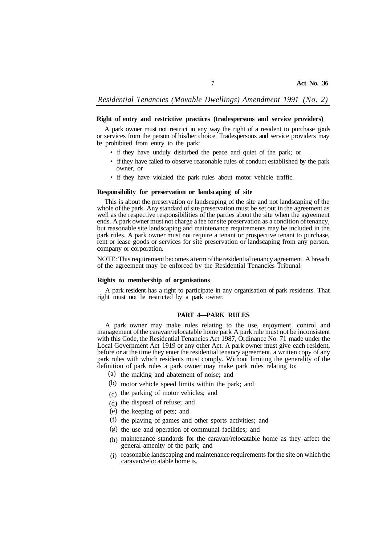## **Right of entry and restrictive practices (tradespersons and service providers)**

A park owner must not restrict in any way the right of a resident to purchase goods or services from the person of his/her choice. Tradespersons and service providers may be prohibited from entry to the park:

- if they have unduly disturbed the peace and quiet of the park; or
- if they have failed to observe reasonable rules of conduct established by the park owner, or
- if they have violated the park rules about motor vehicle traffic.

## **Responsibility for preservation or landscaping of site**

This is about the preservation or landscaping of the site and not landscaping of the whole of the park. Any standard of site preservation must be set out in the agreement as well as the respective responsibilities of the parties about the site when the agreement ends. A park owner must not charge a fee for site preservation as a condition of tenancy, but reasonable site landscaping and maintenance requirements may be included in the park rules. A park owner must not require a tenant or prospective tenant to purchase, rent or lease goods or services for site preservation or landscaping from any person. company or corporation.

NOTE: This requirement becomes a term of the residential tenancy agreement. A breach of the agreement may be enforced by the Residential Tenancies Tribunal.

## **Rights to membership of organisations**

A park resident has a right to participate in any organisation of park residents. That right must not be restricted by a park owner.

## **PART 4—PARK RULES**

A park owner may make rules relating to the use, enjoyment, control and management of the caravan/relocatable home park A park rule must not be inconsistent with this Code, the Residential Tenancies Act 1987, Ordinance No. 71 made under the Local Government Act 1919 or any other Act. A park owner must give each resident, before or at the time they enter the residential tenancy agreement, a written copy of any park rules with which residents must comply. Without limiting the generality of the definition of park rules a park owner may make park rules relating to:

- (a) the making and abatement of noise; and
- (b) motor vehicle speed limits within the park; and
- $(c)$  the parking of motor vehicles; and
- (d) the disposal of refuse; and
- (e) the keeping of pets; and
- (f) the playing of games and other sports activities; and
- (g) the use and operation of communal facilities; and
- maintenance standards for the caravan/relocatable home as they affect the (h) general amenity of the park; and
- (i) reasonable landscaping and maintenance requirements for the site on which the caravan/relocatable home is.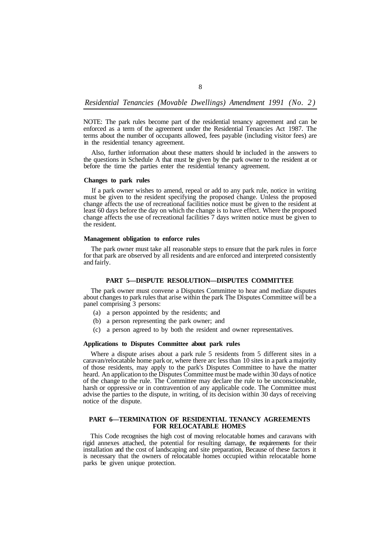8

NOTE: The park rules become part of the residential tenancy agreement and can be enforced as a term of the agreement under the Residential Tenancies Act 1987. The terms about the number of occupants allowed, fees payable (including visitor fees) are in the residential tenancy agreement.

Also, further information about these matters should be included in the answers to the questions in Schedule A that must be given by the park owner to the resident at or before the time the parties enter the residential tenancy agreement.

## **Changes to park rules**

If a park owner wishes to amend, repeal or add to any park rule, notice in writing must be given to the resident specifying the proposed change. Unless the proposed change affects the use of recreational facilities notice must be given to the resident at least 60 days before the day on which the change is to have effect. Where the proposed change affects the use of recreational facilities 7 days written notice must be given to the resident.

## **Management obligation to enforce rules**

The park owner must take alI reasonable steps to ensure that the park rules in force for that park are observed by all residents and are enforced and interpreted consistently and fairly.

#### **PART 5—DISPUTE RESOLUTION—DISPUTES COMMITTEE**

The park owner must convene a Disputes Committee to hear and mediate disputes about changes to park rules that arise within the park The Disputes Committee will be a panel comprising 3 persons:

- (a) a person appointed by the residents; and
- (b) a person representing the park owner; and
- (c) a person agreed to by both the resident and owner representatives.

## **Applications to Disputes Committee about park rules**

Where a dispute arises about a park rule 5 residents from 5 different sites in a caravan/relocatable home park or, where there arc less than 10 sites in a park a majority of those residents, may apply to the park's Disputes Committee to have the matter heard. An application to the Disputes Committee must be made within 30 days of notice of the change to the rule. The Committee may declare the rule to be unconscionable, harsh or oppressive or in contravention of any applicable code. The Committee must advise the parties to the dispute, in writing, of its decision within 30 days of receiving notice of the dispute.

## **PART 6—TERMINATION OF RESIDENTIAL TENANCY AGREEMENTS FOR RELOCATABLE HOMES**

This Code recognises the high cost of moving relocatable homes and caravans with rigid annexes attached, the potential for resulting damage, the requirements for their installation and the cost of landscaping and site preparation, Because of these factors it is necessary that the owners of relocatable homes occupied within relocatable home parks be given unique protection.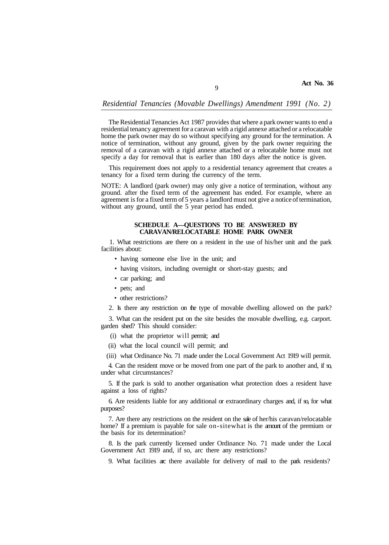## *Residential Tenancies (Movable Dwellings) Amendment 1991 (No. 2)*

 $\overline{Q}$ 

The Residential Tenancies Act 1987 provides that where a park owner wants to end a residential tenancy agreement for a caravan with a rigid annexe attached or a relocatable home the park owner may do so without specifying any ground for the termination. A notice of termination, without any ground, given by the park owner requiring the removal of a caravan with a rigid annexe attached or a relocatable home must not specify a day for removal that is earlier than 180 days after the notice is given.

This requirement does not apply to a residential tenancy agreement that creates a tenancy for a fixed term during the currency of the term.

NOTE: A landlord (park owner) may only give a notice of termination, without any ground. after the fixed term of the agreement has ended. For example, where an agreement is for a fixed term of 5 years a landlord must not give a notice of termination, without any ground, until the 5 year period has ended.

### **SCHEDULE A—QUESTIONS TO BE ANSWERED BY CARAVAN/RELOCATABLE HOME PARK OWNER**

1. What restrictions are there on a resident in the use of his/her unit and the park facilities about:

- having someone else live in the unit; and
- having visitors, including overnight or short-stay guests; and
- car parking; and
- pets; and
- other restrictions?

2. Is there any restriction on the type of movable dwelling allowed on the park?

3. What can the resident put on the site besides the movable dwelling, e.g. carport. garden shed? This should consider:

- (i) what the proprietor will permit; and
- (ii) what the local council will permit; and
- (iii) what Ordinance No. 71 made under the Local Government Act 1919 will permit.

4. Can the resident move or be moved from one part of the park to another and, if  $\infty$ under what circumstances?

5. If the park is sold to another organisation what protection does a resident have against a loss of rights?

6. Are residents liable for any additional or extraordinary charges and, if so, for what purposes?

7. Are there any restrictions on the resident on the sale of her/his caravan/relocatable home? If a premium is payable for sale on-sitewhat is the amount of the premium or the basis for its determination?

8. Is the park currently licensed under Ordinance No. 71 made under the Local Government Act 1919 and, if so, arc there any restrictions?

9. What facilities arc there available for delivery of mail to the park residents?